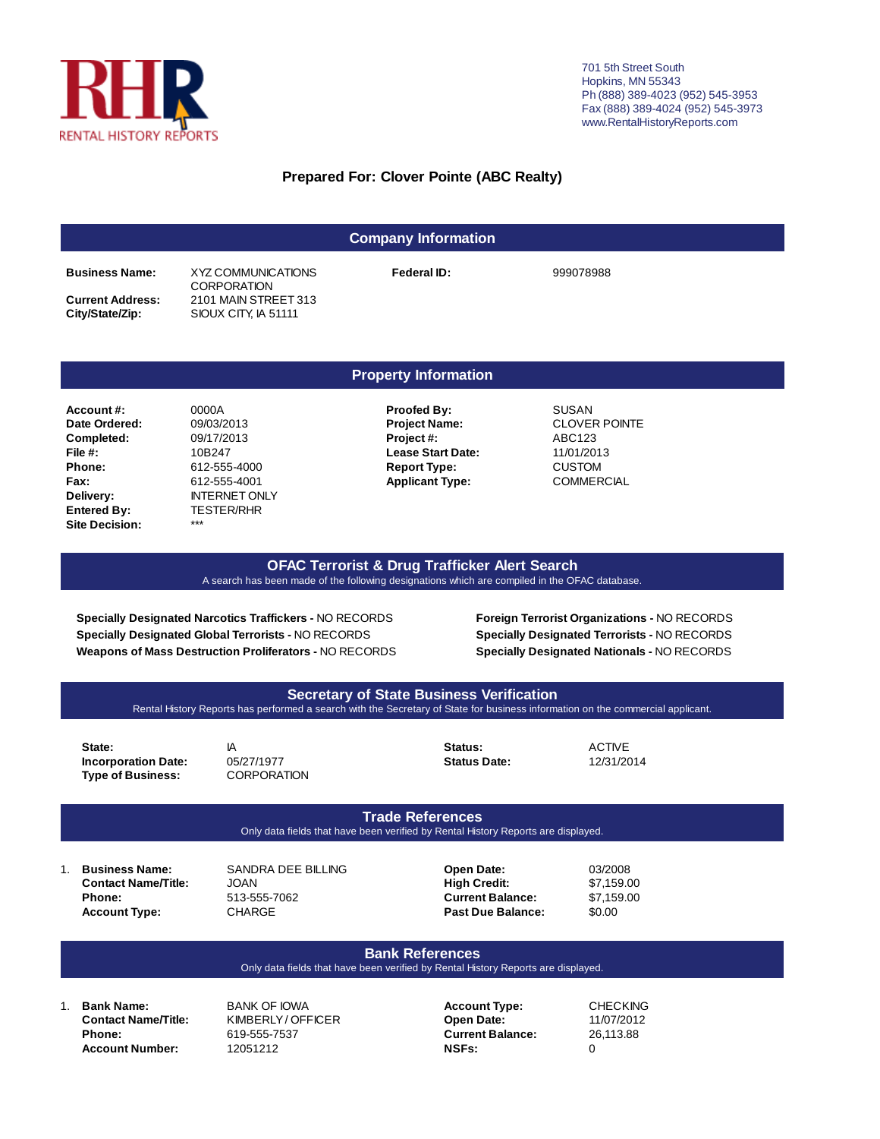

701 5th Street South Hopkins, MN 55343 Ph (888) 389-4023 (952) 545-3953 Fax (888) 389-4024 (952) 545-3973 www.RentalHistoryReports.com

## **Prepared For: Clover Pointe (ABC Realty)**

| <b>Company Information</b>                 |                                              |             |           |  |  |  |  |  |  |  |
|--------------------------------------------|----------------------------------------------|-------------|-----------|--|--|--|--|--|--|--|
| <b>Business Name:</b>                      | XYZ COMMUNICATIONS<br><b>CORPORATION</b>     | Federal ID: | 999078988 |  |  |  |  |  |  |  |
| <b>Current Address:</b><br>City/State/Zip: | 2101 MAIN STREET 313<br>SIOUX CITY, IA 51111 |             |           |  |  |  |  |  |  |  |

**Delivery:** INTERNET ONLY  **Entered By:** TESTER/RHR  **Site Decision:** \*\*\*

#### **Property Information**

- **Account #:** 0000A **Proofed By:** SUSAN  **Date Ordered:** 09/03/2013 **Project Name:** CLOVER POINTE  **Completed:** 09/17/2013 **Project #:** ABC123  **File #:** 10B247 **Lease Start Date:** 11/01/2013  **Phone:** 612-555-4000 **Report Type:** CUSTOM  **Fax:** 612-555-4001 **Applicant Type:** COMMERCIAL
	-

#### **OFAC Terrorist & Drug Trafficker Alert Search** A search has been made of the following designations which are compiled in the OFAC database.

**Specially Designated Narcotics Traffickers -** NO RECORDS **Specially Designated Global Terrorists -** NO RECORDS **Weapons of Mass Destruction Proliferators -** NO RECORDS **Foreign Terrorist Organizations -** NO RECORDS **Specially Designated Terrorists -** NO RECORDS **Specially Designated Nationals -** NO RECORDS



#### **Bank References**

#### Only data fields that have been verified by Rental History Reports are displayed.

**Account Number:** 12051212 **NSFs:** 0

1. **Bank Name:** BANK OF IOWA **Account Type:** CHECKING **Contact Name/Title:** KIMBERLY / OFFICER **Open Date:** 11/07/2012 **Phone:** 619-555-7537 **Current Balance:** 26,113.88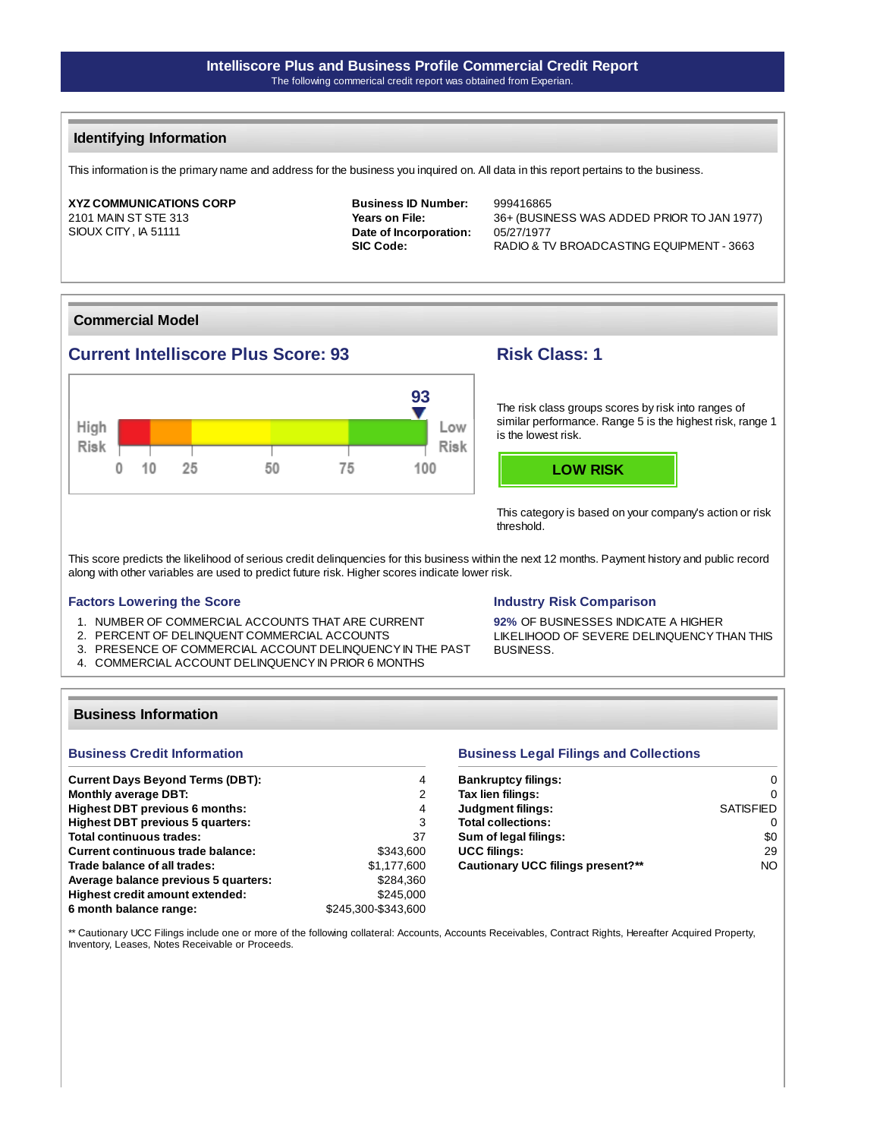## **Identifying Information**

This information is the primary name and address for the business you inquired on. All data in this report pertains to the business.

### **XYZ COMMUNICATIONS CORP** 2101 MAIN ST STE 313

SIOUX CITY , IA 51111

**Business ID Number:** 999416865 **Date of Incorporation:** 05/27/1977

**Years on File:** 36+ (BUSINESS WAS ADDED PRIOR TO JAN 1977) SIC Code: RADIO & TV BROADCASTING EQUIPMENT - 3663

## **Commercial Model**

# **Current Intelliscore Plus Score: 93 Risk Class: 1**



The risk class groups scores by risk into ranges of similar performance. Range 5 is the highest risk, range 1 is the lowest risk.



This category is based on your company's action or risk threshold.

This score predicts the likelihood of serious credit delinquencies for this business within the next 12 months. Payment history and public record along with other variables are used to predict future risk. Higher scores indicate lower risk.

#### **Factors Lowering the Score**

- 1. NUMBER OF COMMERCIAL ACCOUNTS THAT ARE CURRENT
- 2. PERCENT OF DELINQUENT COMMERCIAL ACCOUNTS
- 3. PRESENCE OF COMMERCIAL ACCOUNT DELINQUENCY IN THE PAST
- 4. COMMERCIAL ACCOUNT DELINQUENCY IN PRIOR 6 MONTHS

#### **Industry Risk Comparison**

**92%** OF BUSINESSES INDICATE A HIGHER LIKELIHOOD OF SEVERE DELINQUENCY THAN THIS BUSINESS.

#### **Business Information**

### **Business Credit Information**

| <b>Current Days Beyond Terms (DBT):</b>  | 4                   |
|------------------------------------------|---------------------|
| <b>Monthly average DBT:</b>              | 2                   |
| <b>Highest DBT previous 6 months:</b>    | 4                   |
| <b>Highest DBT previous 5 quarters:</b>  | 3                   |
| Total continuous trades:                 | 37                  |
| <b>Current continuous trade balance:</b> | \$343,600           |
| Trade balance of all trades:             | \$1.177.600         |
| Average balance previous 5 quarters:     | \$284,360           |
| Highest credit amount extended:          | \$245.000           |
| 6 month balance range:                   | \$245.300-\$343.600 |

#### **Business Legal Filings and Collections**

| <b>Bankruptcy filings:</b>        | O                |
|-----------------------------------|------------------|
| Tax lien filings:                 | O                |
| <b>Judgment filings:</b>          | <b>SATISFIED</b> |
| <b>Total collections:</b>         | O                |
| Sum of legal filings:             | \$0              |
| <b>UCC filings:</b>               | 29               |
| Cautionary UCC filings present?** | NO.              |

\*\* Cautionary UCC Filings include one or more of the following collateral: Accounts, Accounts Receivables, Contract Rights, Hereafter Acquired Property, Inventory, Leases, Notes Receivable or Proceeds.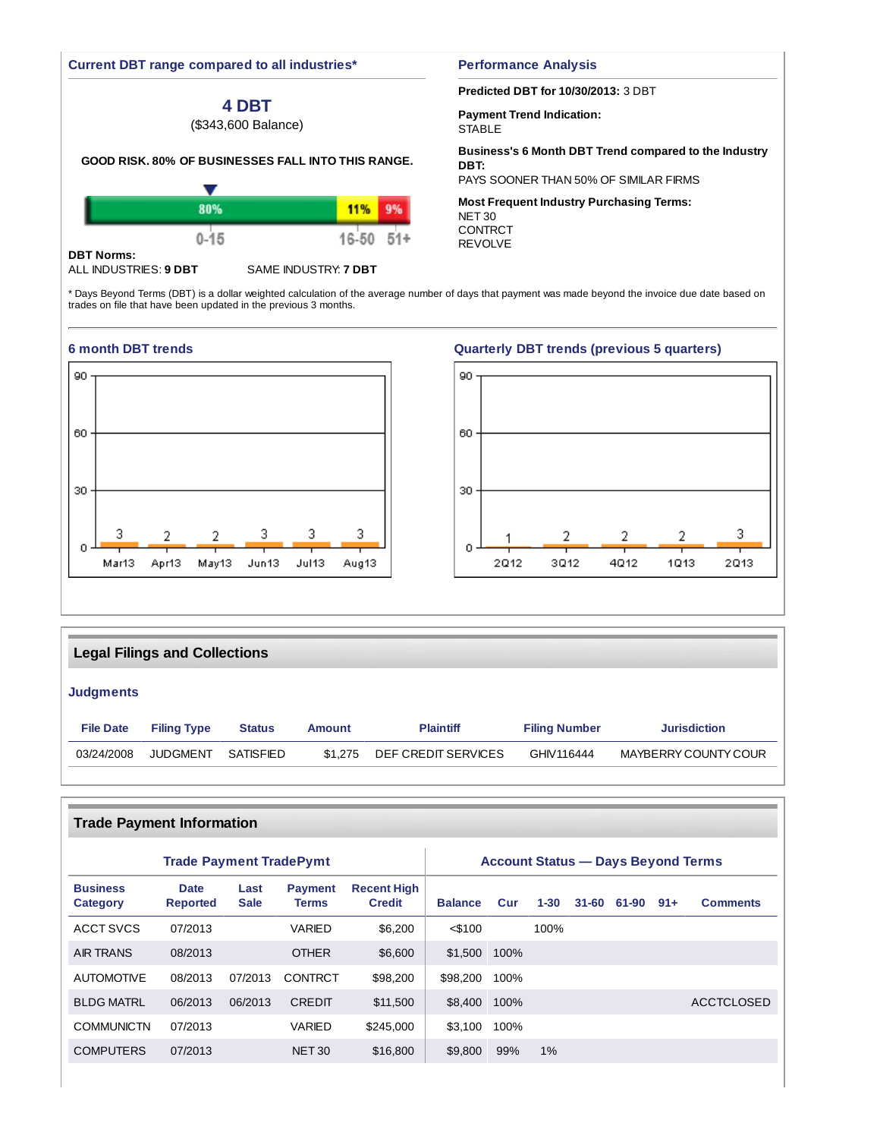#### **Current DBT range compared to all industries\***

# **4 DBT**

(\$343,600 Balance)

#### **GOOD RISK. 80% OF BUSINESSES FALL INTO THIS RANGE.**

|                   |          | 11%   |       |
|-------------------|----------|-------|-------|
|                   | $0 - 15$ | 16-50 | $51+$ |
| <b>DBT Norms:</b> |          |       |       |

#### ALL INDUSTRIES: **9 DBT** SAME INDUSTRY: **7 DBT**

#### **Performance Analysis**

#### **Predicted DBT for 10/30/2013:** 3 DBT

**Payment Trend Indication: STABLE** 

REVOLVE

#### **Business's 6 Month DBT Trend compared to the Industry DBT:**

PAYS SOONER THAN 50% OF SIMILAR FIRMS

**Most Frequent Industry Purchasing Terms:** NET 30 CONTRCT

\* Days Beyond Terms (DBT) is a dollar weighted calculation of the average number of days that payment was made beyond the invoice due date based on trades on file that have been updated in the previous 3 months.



## **6 month DBT trends Quarterly DBT trends (previous 5 quarters)**



# **Legal Filings and Collections**

## **Judgments**

| <b>File Date</b> | <b>Filing Type</b><br><b>Status</b> |           | Amount  | <b>Plaintiff</b>    | <b>Filing Number</b> | <b>Jurisdiction</b>  |  |
|------------------|-------------------------------------|-----------|---------|---------------------|----------------------|----------------------|--|
| 03/24/2008       | JUDGMENT                            | SATISFIED | \$1.275 | DEF CREDIT SERVICES | GHIV116444           | MAYBERRY COUNTY COUR |  |

|                             | <b>Trade Payment Information</b>          |                     |                                |                                     |                |      |          |           |       |       |                   |  |  |
|-----------------------------|-------------------------------------------|---------------------|--------------------------------|-------------------------------------|----------------|------|----------|-----------|-------|-------|-------------------|--|--|
|                             | <b>Account Status — Days Beyond Terms</b> |                     |                                |                                     |                |      |          |           |       |       |                   |  |  |
| <b>Business</b><br>Category | <b>Date</b><br><b>Reported</b>            | Last<br><b>Sale</b> | <b>Payment</b><br><b>Terms</b> | <b>Recent High</b><br><b>Credit</b> | <b>Balance</b> | Cur  | $1 - 30$ | $31 - 60$ | 61-90 | $91+$ | <b>Comments</b>   |  |  |
| ACCT SVCS                   | 07/2013                                   |                     | VARIED                         | \$6,200                             | $<$ \$100      |      | 100%     |           |       |       |                   |  |  |
| <b>AIR TRANS</b>            | 08/2013                                   |                     | <b>OTHER</b>                   | \$6,600                             | \$1,500        | 100% |          |           |       |       |                   |  |  |
| <b>AUTOMOTIVE</b>           | 08/2013                                   | 07/2013             | <b>CONTRCT</b>                 | \$98,200                            | \$98,200       | 100% |          |           |       |       |                   |  |  |
| <b>BLDG MATRL</b>           | 06/2013                                   | 06/2013             | <b>CREDIT</b>                  | \$11,500                            | \$8.400        | 100% |          |           |       |       | <b>ACCTCLOSED</b> |  |  |
| <b>COMMUNICTN</b>           | 07/2013                                   |                     | VARIED                         | \$245,000                           | \$3.100        | 100% |          |           |       |       |                   |  |  |
| <b>COMPUTERS</b>            | 07/2013                                   |                     | <b>NET 30</b>                  | \$16,800                            | \$9,800        | 99%  | $1\%$    |           |       |       |                   |  |  |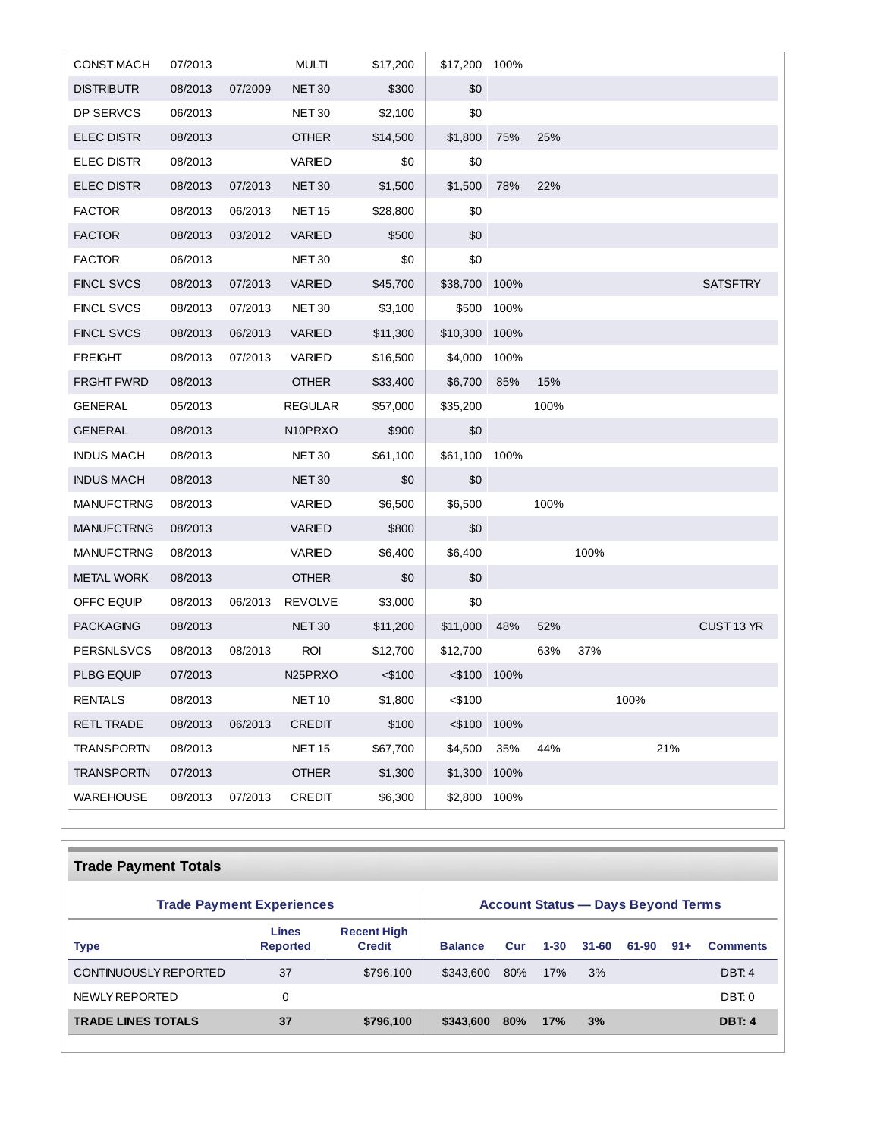| <b>CONST MACH</b> | 07/2013 |         | <b>MULTI</b>                     | \$17,200  | \$17,200 100% |            |      |      |      |     |                 |
|-------------------|---------|---------|----------------------------------|-----------|---------------|------------|------|------|------|-----|-----------------|
| DISTRIBUTR        | 08/2013 | 07/2009 | <b>NET 30</b>                    | \$300     | \$0           |            |      |      |      |     |                 |
| DP SERVCS         | 06/2013 |         | NET 30                           | \$2,100   | \$0           |            |      |      |      |     |                 |
| <b>ELEC DISTR</b> | 08/2013 |         | <b>OTHER</b>                     | \$14,500  | \$1,800       | 75%        | 25%  |      |      |     |                 |
| <b>ELEC DISTR</b> | 08/2013 |         | VARIED                           | \$0       | \$0           |            |      |      |      |     |                 |
| <b>ELEC DISTR</b> | 08/2013 | 07/2013 | <b>NET 30</b>                    | \$1,500   | \$1,500       | 78%        | 22%  |      |      |     |                 |
| <b>FACTOR</b>     | 08/2013 | 06/2013 | <b>NET 15</b>                    | \$28,800  | \$0           |            |      |      |      |     |                 |
| <b>FACTOR</b>     | 08/2013 | 03/2012 | <b>VARIED</b>                    | \$500     | \$0           |            |      |      |      |     |                 |
| <b>FACTOR</b>     | 06/2013 |         | NET 30                           | \$0       | \$0           |            |      |      |      |     |                 |
| <b>FINCL SVCS</b> | 08/2013 | 07/2013 | VARIED                           | \$45,700  | \$38,700 100% |            |      |      |      |     | <b>SATSFTRY</b> |
| <b>FINCL SVCS</b> | 08/2013 | 07/2013 | NET 30                           | \$3,100   |               | \$500 100% |      |      |      |     |                 |
| <b>FINCL SVCS</b> | 08/2013 | 06/2013 | VARIED                           | \$11,300  | \$10,300      | 100%       |      |      |      |     |                 |
| <b>FREIGHT</b>    | 08/2013 | 07/2013 | VARIED                           | \$16,500  | \$4,000 100%  |            |      |      |      |     |                 |
| FRGHT FWRD        | 08/2013 |         | <b>OTHER</b>                     | \$33,400  | \$6,700       | 85%        | 15%  |      |      |     |                 |
| GENERAL           | 05/2013 |         | <b>REGULAR</b>                   | \$57,000  | \$35,200      |            | 100% |      |      |     |                 |
| <b>GENERAL</b>    | 08/2013 |         | N <sub>10</sub> PR <sub>XO</sub> | \$900     | \$0           |            |      |      |      |     |                 |
| INDUS MACH        | 08/2013 |         | NET 30                           | \$61,100  | \$61,100 100% |            |      |      |      |     |                 |
| <b>INDUS MACH</b> | 08/2013 |         | <b>NET 30</b>                    | \$0       | \$0           |            |      |      |      |     |                 |
| <b>MANUFCTRNG</b> | 08/2013 |         | VARIED                           | \$6,500   | \$6,500       |            | 100% |      |      |     |                 |
| <b>MANUFCTRNG</b> | 08/2013 |         | VARIED                           | \$800     | \$0           |            |      |      |      |     |                 |
| <b>MANUFCTRNG</b> | 08/2013 |         | VARIED                           | \$6,400   | \$6,400       |            |      | 100% |      |     |                 |
| <b>METAL WORK</b> | 08/2013 |         | <b>OTHER</b>                     | \$0       | \$0           |            |      |      |      |     |                 |
| OFFC EQUIP        | 08/2013 | 06/2013 | <b>REVOLVE</b>                   | \$3,000   | \$0           |            |      |      |      |     |                 |
| PACKAGING         | 08/2013 |         | NET <sub>30</sub>                | \$11,200  | \$11,000      | 48%        | 52%  |      |      |     | CUST 13 YR      |
| <b>PERSNLSVCS</b> | 08/2013 | 08/2013 | <b>ROI</b>                       | \$12,700  | \$12,700      |            | 63%  | 37%  |      |     |                 |
| PLBG EQUIP        | 07/2013 |         | N25PRXO                          | $<$ \$100 | <\$100 100%   |            |      |      |      |     |                 |
| RENTALS           | 08/2013 |         | <b>NET 10</b>                    | \$1,800   | <\$100        |            |      |      | 100% |     |                 |
| <b>RETL TRADE</b> | 08/2013 | 06/2013 | <b>CREDIT</b>                    | \$100     | $<$ \$100     | 100%       |      |      |      |     |                 |
| <b>TRANSPORTN</b> | 08/2013 |         | <b>NET 15</b>                    | \$67,700  | \$4,500       | 35%        | 44%  |      |      | 21% |                 |
| <b>TRANSPORTN</b> | 07/2013 |         | <b>OTHER</b>                     | \$1,300   | \$1,300       | 100%       |      |      |      |     |                 |
| <b>WAREHOUSE</b>  | 08/2013 | 07/2013 | CREDIT                           | \$6,300   | \$2,800       | 100%       |      |      |      |     |                 |

# **Trade Payment Totals**

| <b>Trade Payment Experiences</b> | <b>Account Status — Days Beyond Terms</b> |                                     |                |     |          |           |       |       |                 |
|----------------------------------|-------------------------------------------|-------------------------------------|----------------|-----|----------|-----------|-------|-------|-----------------|
| <b>Type</b>                      | <b>Lines</b><br><b>Reported</b>           | <b>Recent High</b><br><b>Credit</b> | <b>Balance</b> | Cur | $1 - 30$ | $31 - 60$ | 61-90 | $91+$ | <b>Comments</b> |
| CONTINUOUSLY REPORTED            | 37                                        | \$796,100                           | \$343,600      | 80% | 17%      | 3%        |       |       | DBT: 4          |
| NEWLY REPORTED                   | 0                                         |                                     |                |     |          |           |       |       | DBT: 0          |
| <b>TRADE LINES TOTALS</b>        | 37                                        | \$796,100                           | \$343,600      | 80% | 17%      | 3%        |       |       | <b>DBT: 4</b>   |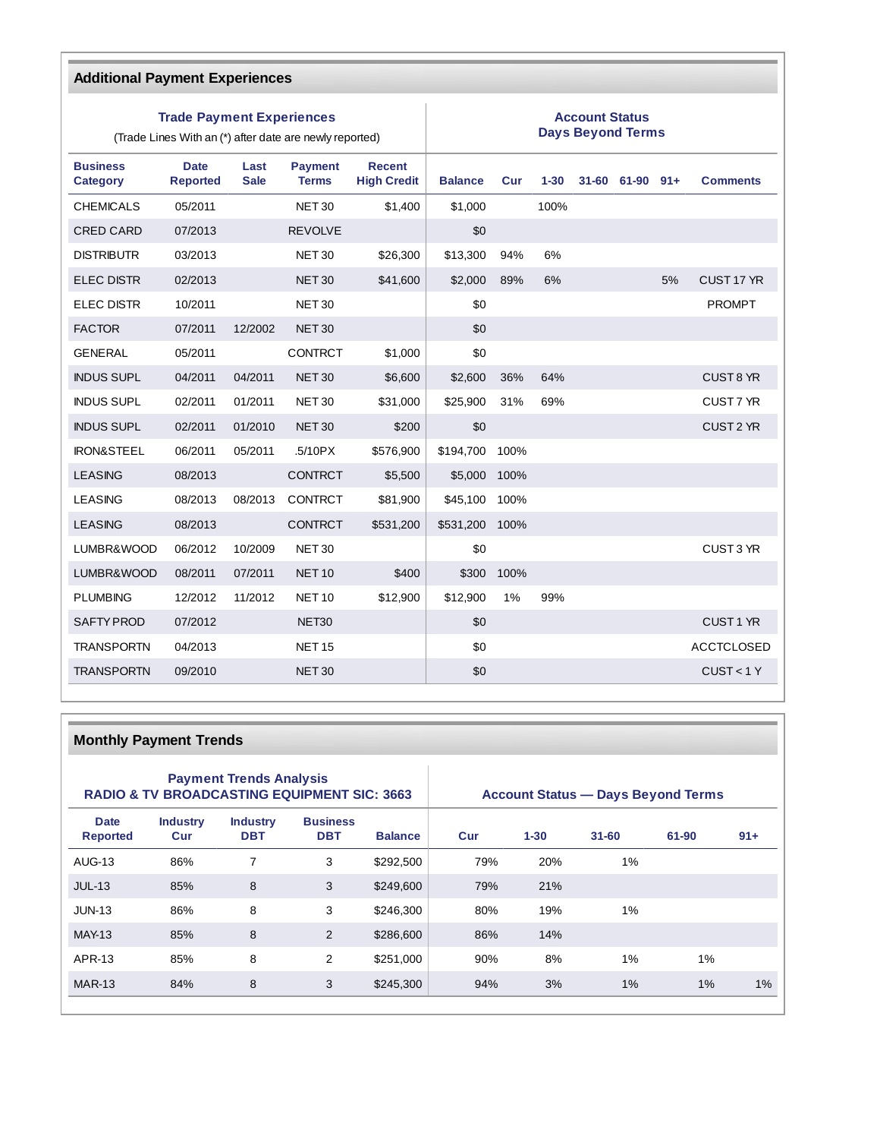| <b>Additional Payment Experiences</b> |                                  |                     |                                                         |                                     |                                                   |      |          |  |                 |    |                      |
|---------------------------------------|----------------------------------|---------------------|---------------------------------------------------------|-------------------------------------|---------------------------------------------------|------|----------|--|-----------------|----|----------------------|
|                                       | <b>Trade Payment Experiences</b> |                     | (Trade Lines With an (*) after date are newly reported) |                                     | <b>Account Status</b><br><b>Days Beyond Terms</b> |      |          |  |                 |    |                      |
| <b>Business</b><br><b>Category</b>    | <b>Date</b><br><b>Reported</b>   | Last<br><b>Sale</b> | <b>Payment</b><br><b>Terms</b>                          | <b>Recent</b><br><b>High Credit</b> | <b>Balance</b>                                    | Cur  | $1 - 30$ |  | 31-60 61-90 91+ |    | <b>Comments</b>      |
| <b>CHEMICALS</b>                      | 05/2011                          |                     | <b>NET 30</b>                                           | \$1,400                             | \$1,000                                           |      | 100%     |  |                 |    |                      |
| <b>CRED CARD</b>                      | 07/2013                          |                     | <b>REVOLVE</b>                                          |                                     | \$0                                               |      |          |  |                 |    |                      |
| <b>DISTRIBUTR</b>                     | 03/2013                          |                     | <b>NET 30</b>                                           | \$26,300                            | \$13,300                                          | 94%  | 6%       |  |                 |    |                      |
| <b>ELEC DISTR</b>                     | 02/2013                          |                     | <b>NET 30</b>                                           | \$41,600                            | \$2,000                                           | 89%  | 6%       |  |                 | 5% | CUST 17 YR           |
| <b>ELEC DISTR</b>                     | 10/2011                          |                     | <b>NET 30</b>                                           |                                     | \$0                                               |      |          |  |                 |    | <b>PROMPT</b>        |
| <b>FACTOR</b>                         | 07/2011                          | 12/2002             | <b>NET 30</b>                                           |                                     | \$0                                               |      |          |  |                 |    |                      |
| <b>GENERAL</b>                        | 05/2011                          |                     | <b>CONTRCT</b>                                          | \$1,000                             | \$0                                               |      |          |  |                 |    |                      |
| <b>INDUS SUPL</b>                     | 04/2011                          | 04/2011             | <b>NET30</b>                                            | \$6,600                             | \$2,600                                           | 36%  | 64%      |  |                 |    | CUST 8 YR            |
| <b>INDUS SUPL</b>                     | 02/2011                          | 01/2011             | <b>NET 30</b>                                           | \$31,000                            | \$25,900                                          | 31%  | 69%      |  |                 |    | CUST 7 YR            |
| <b>INDUS SUPL</b>                     | 02/2011                          | 01/2010             | <b>NET 30</b>                                           | \$200                               | \$0                                               |      |          |  |                 |    | CUST <sub>2</sub> YR |
| <b>IRON&amp;STEEL</b>                 | 06/2011                          | 05/2011             | .5/10PX                                                 | \$576,900                           | \$194,700                                         | 100% |          |  |                 |    |                      |
| <b>LEASING</b>                        | 08/2013                          |                     | <b>CONTRCT</b>                                          | \$5,500                             | \$5,000                                           | 100% |          |  |                 |    |                      |
| <b>LEASING</b>                        | 08/2013                          | 08/2013             | <b>CONTRCT</b>                                          | \$81,900                            | \$45,100                                          | 100% |          |  |                 |    |                      |
| <b>LEASING</b>                        | 08/2013                          |                     | <b>CONTRCT</b>                                          | \$531,200                           | \$531,200                                         | 100% |          |  |                 |    |                      |
| LUMBR&WOOD                            | 06/2012                          | 10/2009             | <b>NET 30</b>                                           |                                     | \$0                                               |      |          |  |                 |    | CUST 3 YR            |
| LUMBR&WOOD                            | 08/2011                          | 07/2011             | <b>NET 10</b>                                           | \$400                               | \$300                                             | 100% |          |  |                 |    |                      |
| <b>PLUMBING</b>                       | 12/2012                          | 11/2012             | <b>NET 10</b>                                           | \$12,900                            | \$12.900                                          | 1%   | 99%      |  |                 |    |                      |
| <b>SAFTY PROD</b>                     | 07/2012                          |                     | NET30                                                   |                                     | \$0                                               |      |          |  |                 |    | CUST <sub>1</sub> YR |
| <b>TRANSPORTN</b>                     | 04/2013                          |                     | <b>NET 15</b>                                           |                                     | \$0                                               |      |          |  |                 |    | <b>ACCTCLOSED</b>    |
| <b>TRANSPORTN</b>                     | 09/2010                          |                     | <b>NET 30</b>                                           |                                     | \$0                                               |      |          |  |                 |    | CUST < 1Y            |

# **Monthly Payment Trends**

|                                | <b>Payment Trends Analysis</b> | <b>RADIO &amp; TV BROADCASTING EQUIPMENT SIC: 3663</b> | <b>Account Status — Days Beyond Terms</b> |                |     |          |           |       |        |
|--------------------------------|--------------------------------|--------------------------------------------------------|-------------------------------------------|----------------|-----|----------|-----------|-------|--------|
| <b>Date</b><br><b>Reported</b> | <b>Industry</b><br>Cur         | <b>Industry</b><br><b>DBT</b>                          | <b>Business</b><br><b>DBT</b>             | <b>Balance</b> | Cur | $1 - 30$ | $31 - 60$ | 61-90 | $91 +$ |
| AUG-13                         | 86%                            | 7                                                      | 3                                         | \$292.500      | 79% | 20%      | $1\%$     |       |        |
| $JUL-13$                       | 85%                            | 8                                                      | 3                                         | \$249,600      | 79% | 21%      |           |       |        |
| $JUN-13$                       | 86%                            | 8                                                      | 3                                         | \$246,300      | 80% | 19%      | 1%        |       |        |
| <b>MAY-13</b>                  | 85%                            | 8                                                      | $\overline{2}$                            | \$286,600      | 86% | 14%      |           |       |        |
| APR-13                         | 85%                            | 8                                                      | 2                                         | \$251,000      | 90% | 8%       | 1%        | 1%    |        |
| <b>MAR-13</b>                  | 84%                            | 8                                                      | 3                                         | \$245,300      | 94% | 3%       | 1%        | $1\%$ | 1%     |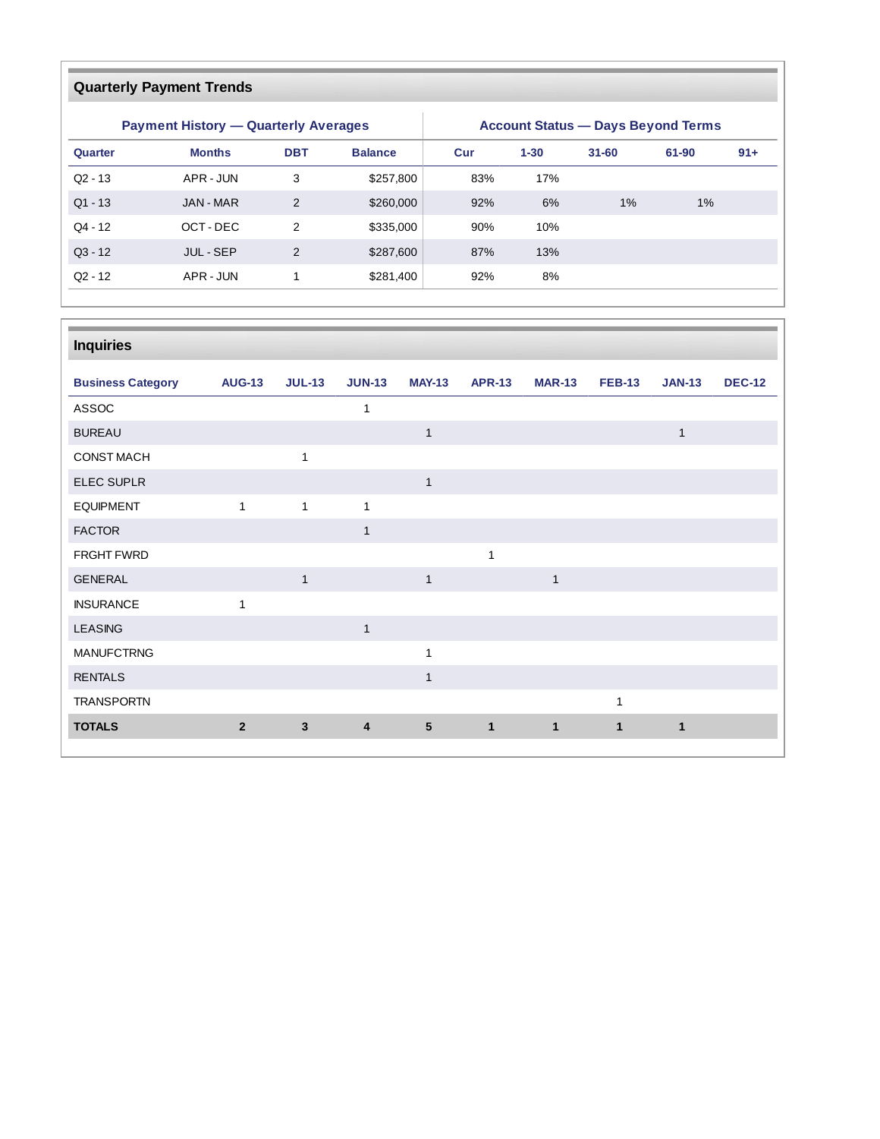# **Quarterly Payment Trends**

|            | <b>Payment History - Quarterly Averages</b> |                |                | <b>Account Status - Days Beyond Terms</b> |          |           |       |        |  |  |
|------------|---------------------------------------------|----------------|----------------|-------------------------------------------|----------|-----------|-------|--------|--|--|
| Quarter    | <b>Months</b>                               | <b>DBT</b>     | <b>Balance</b> | Cur                                       | $1 - 30$ | $31 - 60$ | 61-90 | $91 +$ |  |  |
| $Q2 - 13$  | APR - JUN                                   | 3              | \$257,800      | 83%                                       | 17%      |           |       |        |  |  |
| $Q1 - 13$  | JAN - MAR                                   | 2              | \$260,000      | 92%                                       | 6%       | $1\%$     | $1\%$ |        |  |  |
| $Q4 - 12$  | OCT-DEC                                     | $\mathcal{P}$  | \$335,000      | 90%                                       | 10%      |           |       |        |  |  |
| $Q_3 - 12$ | <b>JUL-SEP</b>                              | $\overline{2}$ | \$287,600      | 87%                                       | 13%      |           |       |        |  |  |
| $Q2 - 12$  | APR - JUN                                   |                | \$281,400      | 92%                                       | 8%       |           |       |        |  |  |

| <b>Inquiries</b>         |                |               |               |                 |               |               |               |               |               |
|--------------------------|----------------|---------------|---------------|-----------------|---------------|---------------|---------------|---------------|---------------|
| <b>Business Category</b> | <b>AUG-13</b>  | <b>JUL-13</b> | <b>JUN-13</b> | <b>MAY-13</b>   | <b>APR-13</b> | <b>MAR-13</b> | <b>FEB-13</b> | <b>JAN-13</b> | <b>DEC-12</b> |
| ASSOC                    |                |               | 1             |                 |               |               |               |               |               |
| <b>BUREAU</b>            |                |               |               | $\mathbf{1}$    |               |               |               | $\mathbf{1}$  |               |
| <b>CONST MACH</b>        |                | $\mathbf{1}$  |               |                 |               |               |               |               |               |
| ELEC SUPLR               |                |               |               | $\mathbf{1}$    |               |               |               |               |               |
| <b>EQUIPMENT</b>         | $\mathbf{1}$   | $\mathbf{1}$  | $\mathbf{1}$  |                 |               |               |               |               |               |
| <b>FACTOR</b>            |                |               | $\mathbf{1}$  |                 |               |               |               |               |               |
| FRGHT FWRD               |                |               |               |                 | $\mathbf{1}$  |               |               |               |               |
| <b>GENERAL</b>           |                | $\mathbf{1}$  |               | $\mathbf{1}$    |               | $\mathbf{1}$  |               |               |               |
| <b>INSURANCE</b>         | $\mathbf{1}$   |               |               |                 |               |               |               |               |               |
| <b>LEASING</b>           |                |               | $\mathbf{1}$  |                 |               |               |               |               |               |
| <b>MANUFCTRNG</b>        |                |               |               | $\mathbf{1}$    |               |               |               |               |               |
| <b>RENTALS</b>           |                |               |               | $\mathbf{1}$    |               |               |               |               |               |
| <b>TRANSPORTN</b>        |                |               |               |                 |               |               | 1             |               |               |
| <b>TOTALS</b>            | $\overline{2}$ | 3             | 4             | $5\phantom{.0}$ | $\mathbf{1}$  | $\mathbf{1}$  | $\mathbf{1}$  | $\mathbf 1$   |               |